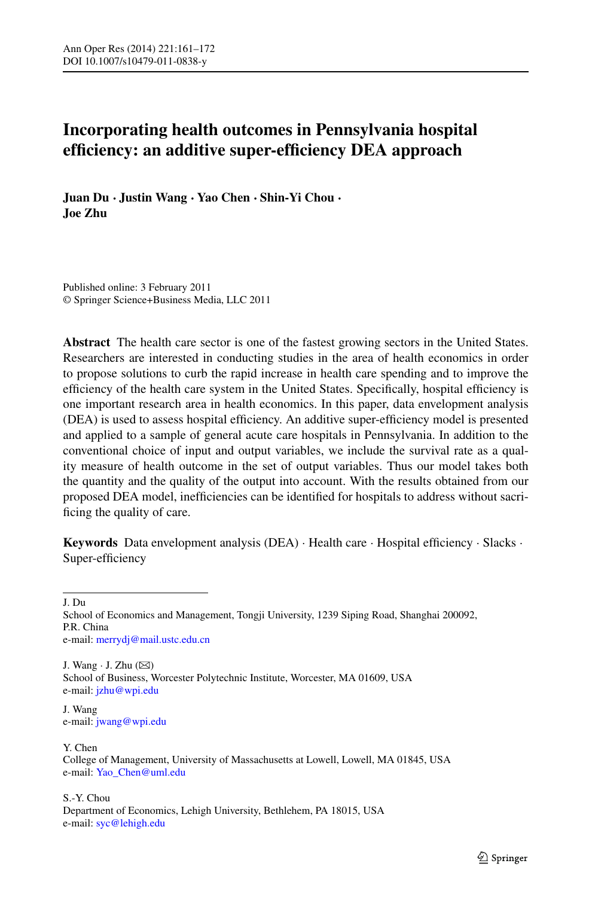# **Incorporating health outcomes in Pennsylvania hospital efficiency: an additive super-efficiency DEA approach**

**Juan Du · Justin Wang · Yao Chen · Shin-Yi Chou · Joe Zhu**

Published online: 3 February 2011 © Springer Science+Business Media, LLC 2011

**Abstract** The health care sector is one of the fastest growing sectors in the United States. Researchers are interested in conducting studies in the area of health economics in order to propose solutions to curb the rapid increase in health care spending and to improve the efficiency of the health care system in the United States. Specifically, hospital efficiency is one important research area in health economics. In this paper, data envelopment analysis (DEA) is used to assess hospital efficiency. An additive super-efficiency model is presented and applied to a sample of general acute care hospitals in Pennsylvania. In addition to the conventional choice of input and output variables, we include the survival rate as a quality measure of health outcome in the set of output variables. Thus our model takes both the quantity and the quality of the output into account. With the results obtained from our proposed DEA model, inefficiencies can be identified for hospitals to address without sacrificing the quality of care.

**Keywords** Data envelopment analysis (DEA) · Health care · Hospital efficiency · Slacks · Super-efficiency

J. Du

J. Wang e-mail: [jwang@wpi.edu](mailto:jwang@wpi.edu)

#### Y. Chen College of Management, University of Massachusetts at Lowell, Lowell, MA 01845, USA e-mail: [Yao\\_Chen@uml.edu](mailto:Yao_Chen@uml.edu)

School of Economics and Management, Tongji University, 1239 Siping Road, Shanghai 200092, P.R. China e-mail: [merrydj@mail.ustc.edu.cn](mailto:merrydj@mail.ustc.edu.cn)

J. Wang  $\cdot$  J. Zhu  $(\boxtimes)$ School of Business, Worcester Polytechnic Institute, Worcester, MA 01609, USA e-mail: [jzhu@wpi.edu](mailto:jzhu@wpi.edu)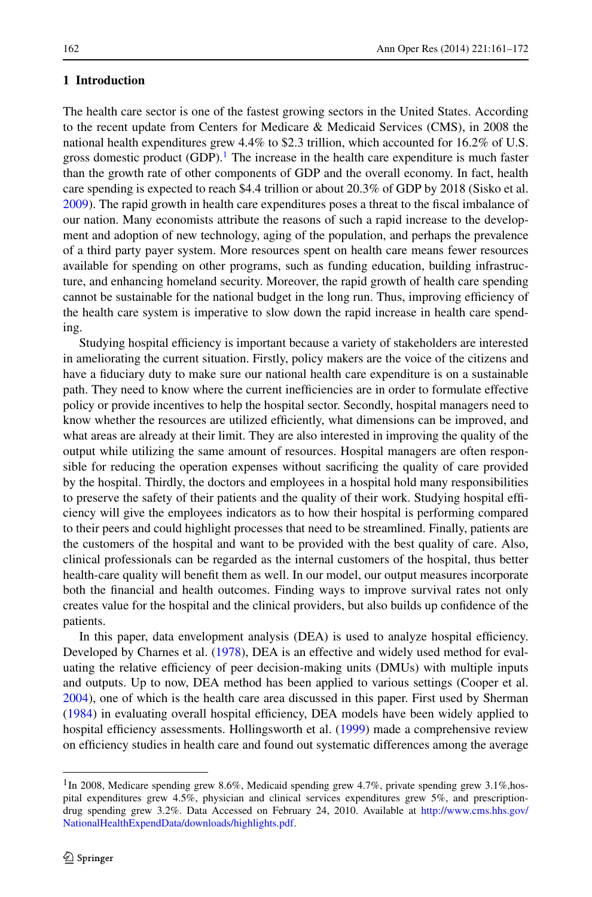## **1 Introduction**

The health care sector is one of the fastest growing sectors in the United States. According to the recent update from Centers for Medicare & Medicaid Services (CMS), in 2008 the national health expenditures grew 4.4% to \$2.3 trillion, which accounted for 16.2% of U.S. gross domestic product  $(GDP)$ .<sup>[1](#page-1-0)</sup> The increase in the health care expenditure is much faster than the growth rate of other components of GDP and the overall economy. In fact, health care spending is expected to reach \$4.4 trillion or about 20.3% of GDP by 2018 (Sisko et al. [2009\)](#page-11-0). The rapid growth in health care expenditures poses a threat to the fiscal imbalance of our nation. Many economists attribute the reasons of such a rapid increase to the development and adoption of new technology, aging of the population, and perhaps the prevalence of a third party payer system. More resources spent on health care means fewer resources available for spending on other programs, such as funding education, building infrastructure, and enhancing homeland security. Moreover, the rapid growth of health care spending cannot be sustainable for the national budget in the long run. Thus, improving efficiency of the health care system is imperative to slow down the rapid increase in health care spending.

Studying hospital efficiency is important because a variety of stakeholders are interested in ameliorating the current situation. Firstly, policy makers are the voice of the citizens and have a fiduciary duty to make sure our national health care expenditure is on a sustainable path. They need to know where the current inefficiencies are in order to formulate effective policy or provide incentives to help the hospital sector. Secondly, hospital managers need to know whether the resources are utilized efficiently, what dimensions can be improved, and what areas are already at their limit. They are also interested in improving the quality of the output while utilizing the same amount of resources. Hospital managers are often responsible for reducing the operation expenses without sacrificing the quality of care provided by the hospital. Thirdly, the doctors and employees in a hospital hold many responsibilities to preserve the safety of their patients and the quality of their work. Studying hospital efficiency will give the employees indicators as to how their hospital is performing compared to their peers and could highlight processes that need to be streamlined. Finally, patients are the customers of the hospital and want to be provided with the best quality of care. Also, clinical professionals can be regarded as the internal customers of the hospital, thus better health-care quality will benefit them as well. In our model, our output measures incorporate both the financial and health outcomes. Finding ways to improve survival rates not only creates value for the hospital and the clinical providers, but also builds up confidence of the patients.

<span id="page-1-0"></span>In this paper, data envelopment analysis (DEA) is used to analyze hospital efficiency. Developed by Charnes et al. [\(1978](#page-11-1)), DEA is an effective and widely used method for evaluating the relative efficiency of peer decision-making units (DMUs) with multiple inputs and outputs. Up to now, DEA method has been applied to various settings (Cooper et al. [2004\)](#page-11-2), one of which is the health care area discussed in this paper. First used by Sherman ([1984\)](#page-11-3) in evaluating overall hospital efficiency, DEA models have been widely applied to hospital efficiency assessments. Hollingsworth et al. [\(1999](#page-11-4)) made a comprehensive review on efficiency studies in health care and found out systematic differences among the average

 $1$ In 2008, Medicare spending grew 8.6%, Medicaid spending grew 4.7%, private spending grew 3.1%,hospital expenditures grew 4.5%, physician and clinical services expenditures grew 5%, and prescriptiondrug spending grew 3.2%. Data Accessed on February 24, 2010. Available at [http://www.cms.hhs.gov/](http://www.cms.hhs.gov/NationalHealthExpendData/downloads/highlights.pdf) [NationalHealthExpendData/downloads/highlights.pdf](http://www.cms.hhs.gov/NationalHealthExpendData/downloads/highlights.pdf).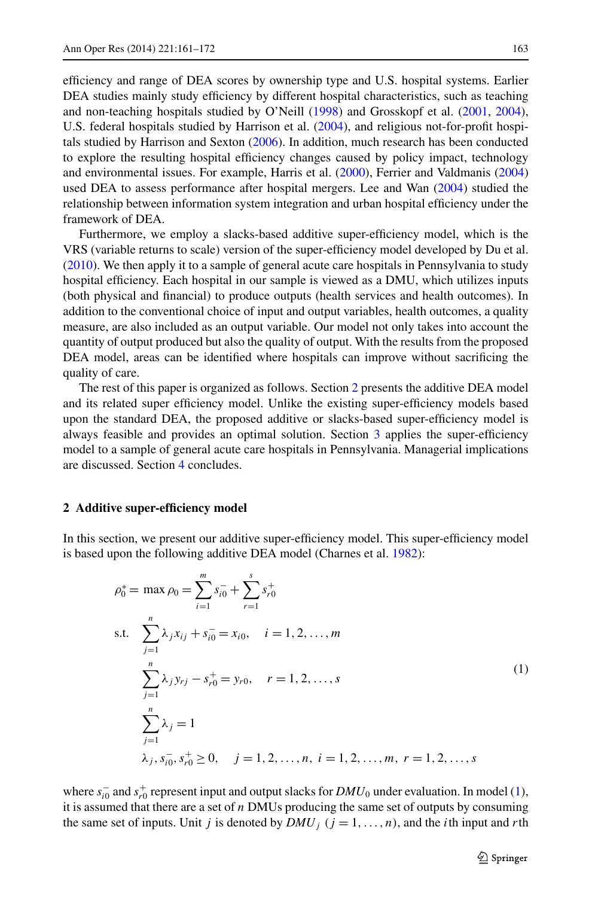efficiency and range of DEA scores by ownership type and U.S. hospital systems. Earlier DEA studies mainly study efficiency by different hospital characteristics, such as teaching and non-teaching hospitals studied by O'Neill [\(1998](#page-11-5)) and Grosskopf et al. [\(2001](#page-11-6), [2004](#page-11-7)), U.S. federal hospitals studied by Harrison et al. [\(2004](#page-11-8)), and religious not-for-profit hospitals studied by Harrison and Sexton ([2006\)](#page-11-9). In addition, much research has been conducted to explore the resulting hospital efficiency changes caused by policy impact, technology and environmental issues. For example, Harris et al. [\(2000](#page-11-10)), Ferrier and Valdmanis [\(2004](#page-11-11)) used DEA to assess performance after hospital mergers. Lee and Wan [\(2004](#page-11-12)) studied the relationship between information system integration and urban hospital efficiency under the framework of DEA.

Furthermore, we employ a slacks-based additive super-efficiency model, which is the VRS (variable returns to scale) version of the super-efficiency model developed by Du et al. ([2010\)](#page-11-13). We then apply it to a sample of general acute care hospitals in Pennsylvania to study hospital efficiency. Each hospital in our sample is viewed as a DMU, which utilizes inputs (both physical and financial) to produce outputs (health services and health outcomes). In addition to the conventional choice of input and output variables, health outcomes, a quality measure, are also included as an output variable. Our model not only takes into account the quantity of output produced but also the quality of output. With the results from the proposed DEA model, areas can be identified where hospitals can improve without sacrificing the quality of care.

<span id="page-2-0"></span>The rest of this paper is organized as follows. Section [2](#page-2-0) presents the additive DEA model and its related super efficiency model. Unlike the existing super-efficiency models based upon the standard DEA, the proposed additive or slacks-based super-efficiency model is always feasible and provides an optimal solution. Section [3](#page-4-0) applies the super-efficiency model to a sample of general acute care hospitals in Pennsylvania. Managerial implications are discussed. Section [4](#page-10-0) concludes.

#### **2 Additive super-efficiency model**

<span id="page-2-1"></span>In this section, we present our additive super-efficiency model. This super-efficiency model is based upon the following additive DEA model (Charnes et al. [1982](#page-11-14)):

$$
\rho_0^* = \max \rho_0 = \sum_{i=1}^m s_{i0}^- + \sum_{r=1}^s s_{r0}^+
$$
  
s.t. 
$$
\sum_{j=1}^n \lambda_j x_{ij} + s_{i0}^- = x_{i0}, \quad i = 1, 2, ..., m
$$

$$
\sum_{j=1}^n \lambda_j y_{rj} - s_{r0}^+ = y_{r0}, \quad r = 1, 2, ..., s
$$

$$
\sum_{j=1}^n \lambda_j = 1
$$

$$
\lambda_j, s_{i0}^-, s_{r0}^+ \ge 0, \quad j = 1, 2, ..., n, i = 1, 2, ..., m, r = 1, 2, ..., s
$$

$$
(1)
$$

where  $s_{i0}^-$  and  $s_{r0}^+$  represent input and output slacks for  $DMU_0$  under evaluation. In model [\(1](#page-2-1)), it is assumed that there are a set of *n* DMUs producing the same set of outputs by consuming the same set of inputs. Unit *j* is denoted by  $DMU_j$   $(j = 1, ..., n)$ , and the *i*th input and *r*th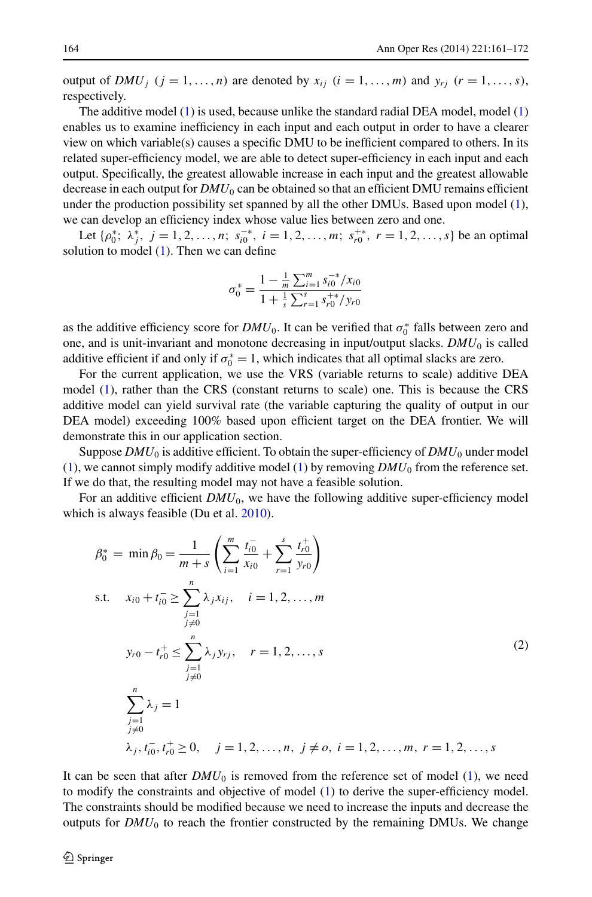output of *DMU<sub>i</sub>*  $(j = 1, ..., n)$  are denoted by  $x_{ij}$   $(i = 1, ..., m)$  and  $y_{ri}$   $(r = 1, ..., s)$ , respectively.

The additive model ([1](#page-2-1)) is used, because unlike the standard radial DEA model, model ([1](#page-2-1)) enables us to examine inefficiency in each input and each output in order to have a clearer view on which variable(s) causes a specific DMU to be inefficient compared to others. In its related super-efficiency model, we are able to detect super-efficiency in each input and each output. Specifically, the greatest allowable increase in each input and the greatest allowable decrease in each output for  $DMU_0$  can be obtained so that an efficient DMU remains efficient under the production possibility set spanned by all the other DMUs. Based upon model [\(1](#page-2-1)), we can develop an efficiency index whose value lies between zero and one.

Let  $\{\rho_0^*, \lambda_j^*, j = 1, 2, \ldots, n; s_{i0}^{-*}, i = 1, 2, \ldots, m; s_{r0}^{+*}, r = 1, 2, \ldots, s\}$  be an optimal solution to model  $(1)$  $(1)$  $(1)$ . Then we can define

$$
\sigma_0^* = \frac{1 - \frac{1}{m} \sum_{i=1}^m s_{i0}^{-*} / x_{i0}}{1 + \frac{1}{s} \sum_{r=1}^s s_{r0}^{+*} / y_{r0}}
$$

as the additive efficiency score for  $DMU_0$ . It can be verified that  $\sigma_0^*$  falls between zero and one, and is unit-invariant and monotone decreasing in input/output slacks. *DMU*<sup>0</sup> is called additive efficient if and only if  $\sigma_0^* = 1$ , which indicates that all optimal slacks are zero.

For the current application, we use the VRS (variable returns to scale) additive DEA model [\(1\)](#page-2-1), rather than the CRS (constant returns to scale) one. This is because the CRS additive model can yield survival rate (the variable capturing the quality of output in our DEA model) exceeding 100% based upon efficient target on the DEA frontier. We will demonstrate this in our application section.

Suppose  $DMU_0$  is additive efficient. To obtain the super-efficiency of  $DMU_0$  under model ([1\)](#page-2-1), we cannot simply modify additive model (1) by removing  $DMU_0$  from the reference set. If we do that, the resulting model may not have a feasible solution.

<span id="page-3-0"></span>For an additive efficient *DMU*<sub>0</sub>, we have the following additive super-efficiency model which is always feasible (Du et al. [2010](#page-11-13)).

$$
\beta_0^* = \min \beta_0 = \frac{1}{m+s} \left( \sum_{i=1}^m \frac{t_{i0}^{\top}}{x_{i0}} + \sum_{r=1}^s \frac{t_{r0}^+}{y_{r0}} \right)
$$
  
s.t.  $x_{i0} + t_{i0}^- \ge \sum_{\substack{j=1 \ j \neq 0}}^n \lambda_j x_{ij}, \quad i = 1, 2, ..., m$   
 $y_{r0} - t_{r0}^+ \le \sum_{\substack{j=1 \ j \neq 0}}^n \lambda_j y_{rj}, \quad r = 1, 2, ..., s$   
 $\sum_{\substack{j=1 \ j \neq 0}}^n \lambda_j = 1$   
 $\lambda_j, t_{i0}^-, t_{r0}^+ \ge 0, \quad j = 1, 2, ..., n, j \neq o, i = 1, 2, ..., m, r = 1, 2, ..., s$  (2)

It can be seen that after  $DMU_0$  is removed from the reference set of model  $(1)$  $(1)$ , we need to modify the constraints and objective of model ([1\)](#page-2-1) to derive the super-efficiency model. The constraints should be modified because we need to increase the inputs and decrease the outputs for  $DMU_0$  to reach the frontier constructed by the remaining DMUs. We change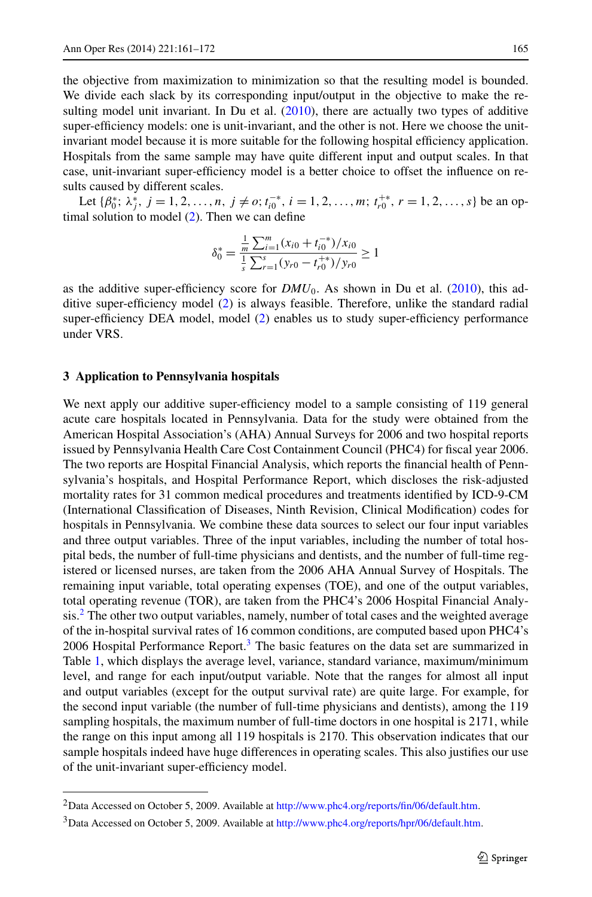the objective from maximization to minimization so that the resulting model is bounded. We divide each slack by its corresponding input/output in the objective to make the resulting model unit invariant. In Du et al.  $(2010)$  $(2010)$ , there are actually two types of additive super-efficiency models: one is unit-invariant, and the other is not. Here we choose the unitinvariant model because it is more suitable for the following hospital efficiency application. Hospitals from the same sample may have quite different input and output scales. In that case, unit-invariant super-efficiency model is a better choice to offset the influence on results caused by different scales.

Let  $\{\beta_0^*, \lambda_j^*, j = 1, 2, \ldots, n, j \neq o; t_{i0}^{-*}, i = 1, 2, \ldots, m; t_{i0}^{+*}, r = 1, 2, \ldots, s\}$  be an optimal solution to model [\(2](#page-3-0)). Then we can define

$$
\delta_0^* = \frac{\frac{1}{m}\sum_{i=1}^m (x_{i0} + t_{i0}^{-*})/x_{i0}}{\frac{1}{s}\sum_{r=1}^s (y_{r0} - t_{r0}^{-*})/y_{r0}} \ge 1
$$

<span id="page-4-0"></span>as the additive super-efficiency score for *DMU*0. As shown in Du et al. [\(2010](#page-11-13)), this additive super-efficiency model [\(2\)](#page-3-0) is always feasible. Therefore, unlike the standard radial super-efficiency DEA model, model [\(2](#page-3-0)) enables us to study super-efficiency performance under VRS.

## **3 Application to Pennsylvania hospitals**

We next apply our additive super-efficiency model to a sample consisting of 119 general acute care hospitals located in Pennsylvania. Data for the study were obtained from the American Hospital Association's (AHA) Annual Surveys for 2006 and two hospital reports issued by Pennsylvania Health Care Cost Containment Council (PHC4) for fiscal year 2006. The two reports are Hospital Financial Analysis, which reports the financial health of Pennsylvania's hospitals, and Hospital Performance Report, which discloses the risk-adjusted mortality rates for 31 common medical procedures and treatments identified by ICD-9-CM (International Classification of Diseases, Ninth Revision, Clinical Modification) codes for hospitals in Pennsylvania. We combine these data sources to select our four input variables and three output variables. Three of the input variables, including the number of total hospital beds, the number of full-time physicians and dentists, and the number of full-time registered or licensed nurses, are taken from the 2006 AHA Annual Survey of Hospitals. The remaining input variable, total operating expenses (TOE), and one of the output variables, total operating revenue (TOR), are taken from the PHC4's 2006 Hospital Financial Analysis[.2](#page-4-1) The other two output variables, namely, number of total cases and the weighted average of the in-hospital survival rates of 16 common conditions, are computed based upon PHC4's 2006 Hospital Performance Report.<sup>3</sup> The basic features on the data set are summarized in Table [1,](#page-5-0) which displays the average level, variance, standard variance, maximum/minimum level, and range for each input/output variable. Note that the ranges for almost all input and output variables (except for the output survival rate) are quite large. For example, for the second input variable (the number of full-time physicians and dentists), among the 119 sampling hospitals, the maximum number of full-time doctors in one hospital is 2171, while the range on this input among all 119 hospitals is 2170. This observation indicates that our sample hospitals indeed have huge differences in operating scales. This also justifies our use of the unit-invariant super-efficiency model.

<span id="page-4-2"></span><span id="page-4-1"></span><sup>2</sup>Data Accessed on October 5, 2009. Available at [http://www.phc4.org/reports/fin/06/default.htm.](http://www.phc4.org/reports/fin/06/default.htm)

<sup>&</sup>lt;sup>3</sup>Data Accessed on October 5, 2009. Available at <http://www.phc4.org/reports/hpr/06/default.htm>.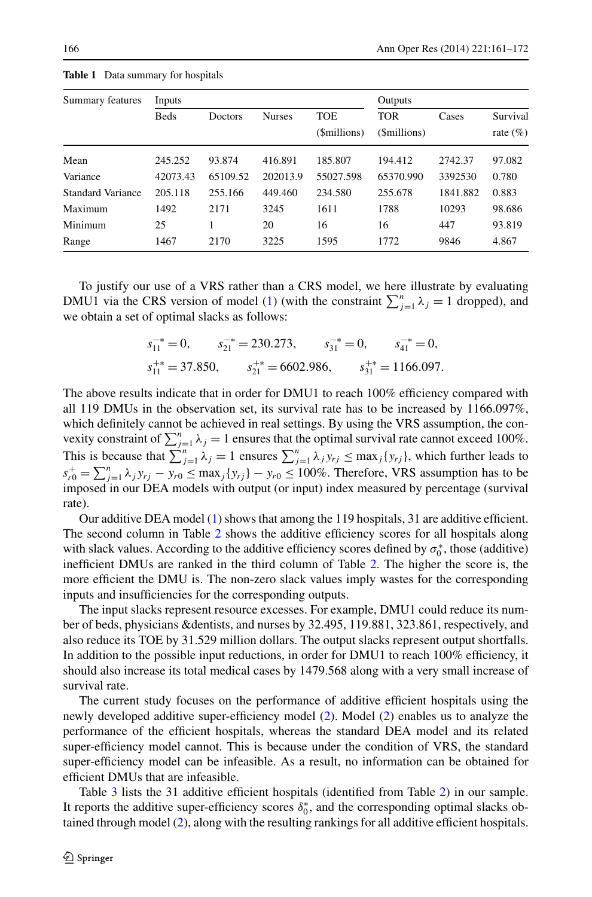| Summary features         | Inputs      |          |               | Outputs                    |                            |          |                          |
|--------------------------|-------------|----------|---------------|----------------------------|----------------------------|----------|--------------------------|
|                          | <b>Beds</b> | Doctors  | <b>Nurses</b> | <b>TOE</b><br>(\$millions) | <b>TOR</b><br>(\$millions) | Cases    | Survival<br>rate $(\% )$ |
| Mean                     | 245.252     | 93.874   | 416.891       | 185.807                    | 194.412                    | 2742.37  | 97.082                   |
| Variance                 | 42073.43    | 65109.52 | 202013.9      | 55027.598                  | 65370.990                  | 3392530  | 0.780                    |
| <b>Standard Variance</b> | 205.118     | 255.166  | 449.460       | 234.580                    | 255.678                    | 1841.882 | 0.883                    |
| Maximum                  | 1492        | 2171     | 3245          | 1611                       | 1788                       | 10293    | 98.686                   |
| Minimum                  | 25          |          | 20            | 16                         | 16                         | 447      | 93.819                   |
| Range                    | 1467        | 2170     | 3225          | 1595                       | 1772                       | 9846     | 4.867                    |

<span id="page-5-0"></span>**Table 1** Data summary for hospitals

To justify our use of a VRS rather than a CRS model, we here illustrate by evaluating DMU1 via the CRS version of model [\(1\)](#page-2-1) (with the constraint  $\sum_{j=1}^{n} \lambda_j = 1$  dropped), and we obtain a set of optimal slacks as follows:

$$
s_{11}^{-*} = 0, \t s_{21}^{-*} = 230.273, \t s_{31}^{-*} = 0, \t s_{41}^{-*} = 0,
$$
  

$$
s_{11}^{+*} = 37.850, \t s_{21}^{+*} = 6602.986, \t s_{31}^{+*} = 1166.097.
$$

The above results indicate that in order for DMU1 to reach 100% efficiency compared with all 119 DMUs in the observation set, its survival rate has to be increased by 1166.097%, which definitely cannot be achieved in real settings. By using the VRS assumption, the convexity constraint of  $\sum_{j=1}^{n} \lambda_j = 1$  ensures that the optimal survival rate cannot exceed 100%. This is because that  $\sum_{j=1}^{n} \lambda_j = 1$  ensures  $\sum_{j=1}^{n} \lambda_j y_{rj} \le \max_j \{y_{rj}\}\$ , which further leads to  $s_{r0}^+ = \sum_{j=1}^n \lambda_j y_{rj} - y_{r0} \le \max_j \{y_{rj}\} - y_{r0} \le 100\%$ . Therefore, VRS assumption has to be imposed in our DEA models with output (or input) index measured by percentage (survival rate).

Our additive DEA model [\(1\)](#page-2-1) shows that among the 119 hospitals, 31 are additive efficient. The second column in Table [2](#page-6-0) shows the additive efficiency scores for all hospitals along with slack values. According to the additive efficiency scores defined by  $\sigma_0^*$ , those (additive) inefficient DMUs are ranked in the third column of Table [2.](#page-6-0) The higher the score is, the more efficient the DMU is. The non-zero slack values imply wastes for the corresponding inputs and insufficiencies for the corresponding outputs.

The input slacks represent resource excesses. For example, DMU1 could reduce its number of beds, physicians &dentists, and nurses by 32.495, 119.881, 323.861, respectively, and also reduce its TOE by 31.529 million dollars. The output slacks represent output shortfalls. In addition to the possible input reductions, in order for DMU1 to reach 100% efficiency, it should also increase its total medical cases by 1479.568 along with a very small increase of survival rate.

The current study focuses on the performance of additive efficient hospitals using the newly developed additive super-efficiency model ([2](#page-3-0)). Model ([2\)](#page-3-0) enables us to analyze the performance of the efficient hospitals, whereas the standard DEA model and its related super-efficiency model cannot. This is because under the condition of VRS, the standard super-efficiency model can be infeasible. As a result, no information can be obtained for efficient DMUs that are infeasible.

Table [3](#page-9-0) lists the 31 additive efficient hospitals (identified from Table [2](#page-6-0)) in our sample. It reports the additive super-efficiency scores  $\delta_0^*$ , and the corresponding optimal slacks obtained through model ([2](#page-3-0)), along with the resulting rankings for all additive efficient hospitals.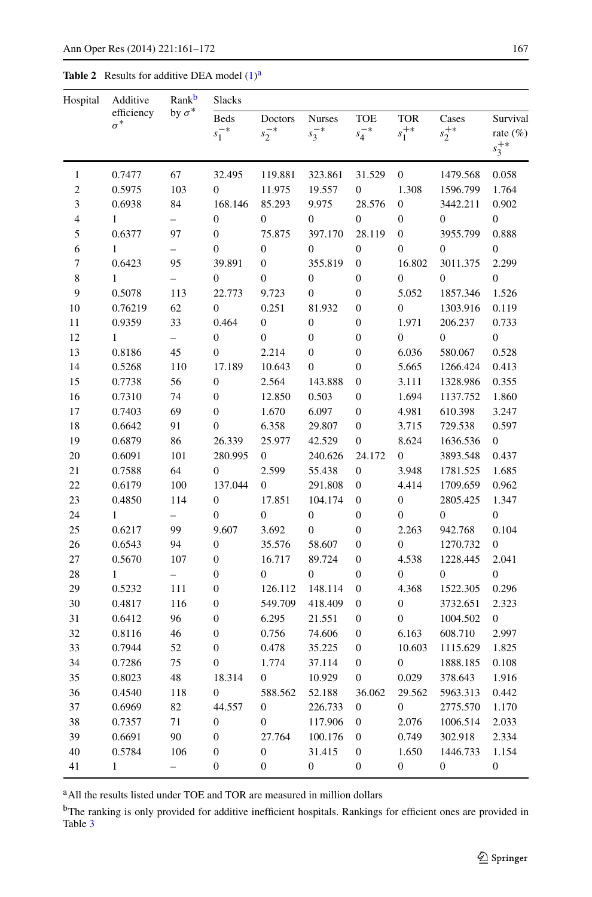<span id="page-6-0"></span>

| Ann Oper Res (2014) 221:161–172 |  |
|---------------------------------|--|
|                                 |  |

| Hospital       | Additive                 | Rankb                    | Slacks             |                       |                             |                          |                          |                     |                                    |  |
|----------------|--------------------------|--------------------------|--------------------|-----------------------|-----------------------------|--------------------------|--------------------------|---------------------|------------------------------------|--|
|                | efficiency<br>$\sigma^*$ | by $\sigma^*$            | Beds<br>$s_1^{-*}$ | Doctors<br>$s_2^{-*}$ | <b>Nurses</b><br>$s_3^{-*}$ | <b>TOE</b><br>$s_4^{-*}$ | <b>TOR</b><br>$s_1^{+*}$ | Cases<br>$s_2^{+*}$ | Survival<br>rate (%)<br>$s_3^{+*}$ |  |
| $\mathbf{1}$   | 0.7477                   | 67                       | 32.495             | 119.881               | 323.861                     | 31.529                   | $\boldsymbol{0}$         | 1479.568            | 0.058                              |  |
| $\mathbf{2}$   | 0.5975                   | 103                      | $\boldsymbol{0}$   | 11.975                | 19.557                      | $\boldsymbol{0}$         | 1.308                    | 1596.799            | 1.764                              |  |
| 3              | 0.6938                   | 84                       | 168.146            | 85.293                | 9.975                       | 28.576                   | $\boldsymbol{0}$         | 3442.211            | 0.902                              |  |
| $\overline{4}$ | $\mathbf{1}$             | $\overline{\phantom{0}}$ | $\boldsymbol{0}$   | $\boldsymbol{0}$      | $\boldsymbol{0}$            | $\boldsymbol{0}$         | $\boldsymbol{0}$         | $\mathbf{0}$        | $\overline{0}$                     |  |
| 5              | 0.6377                   | 97                       | $\boldsymbol{0}$   | 75.875                | 397.170                     | 28.119                   | $\boldsymbol{0}$         | 3955.799            | 0.888                              |  |
| 6              | $\mathbf{1}$             | $\overline{\phantom{0}}$ | $\boldsymbol{0}$   | $\boldsymbol{0}$      | $\boldsymbol{0}$            | $\mathbf{0}$             | $\boldsymbol{0}$         | $\boldsymbol{0}$    | $\boldsymbol{0}$                   |  |
| $\tau$         | 0.6423                   | 95                       | 39.891             | $\boldsymbol{0}$      | 355.819                     | $\boldsymbol{0}$         | 16.802                   | 3011.375            | 2.299                              |  |
| 8              | $\mathbf{1}$             | $\overline{\phantom{0}}$ | $\boldsymbol{0}$   | $\boldsymbol{0}$      | $\boldsymbol{0}$            | $\mathbf{0}$             | $\boldsymbol{0}$         | $\overline{0}$      | $\boldsymbol{0}$                   |  |
| 9              | 0.5078                   | 113                      | 22.773             | 9.723                 | $\boldsymbol{0}$            | $\boldsymbol{0}$         | 5.052                    | 1857.346            | 1.526                              |  |
| 10             | 0.76219                  | 62                       | $\boldsymbol{0}$   | 0.251                 | 81.932                      | $\boldsymbol{0}$         | $\boldsymbol{0}$         | 1303.916            | 0.119                              |  |
| 11             | 0.9359                   | 33                       | 0.464              | $\boldsymbol{0}$      | $\mathbf{0}$                | $\mathbf{0}$             | 1.971                    | 206.237             | 0.733                              |  |
| 12             | $\mathbf{1}$             | $\overline{\phantom{0}}$ | $\boldsymbol{0}$   | $\boldsymbol{0}$      | $\boldsymbol{0}$            | $\mathbf{0}$             | $\boldsymbol{0}$         | $\boldsymbol{0}$    | $\boldsymbol{0}$                   |  |
| 13             | 0.8186                   | 45                       | $\overline{0}$     | 2.214                 | $\boldsymbol{0}$            | $\mathbf{0}$             | 6.036                    | 580.067             | 0.528                              |  |
| 14             | 0.5268                   | 110                      | 17.189             | 10.643                | $\boldsymbol{0}$            | $\mathbf{0}$             | 5.665                    | 1266.424            | 0.413                              |  |
| 15             | 0.7738                   | 56                       | $\boldsymbol{0}$   | 2.564                 | 143.888                     | $\mathbf{0}$             | 3.111                    | 1328.986            | 0.355                              |  |
| 16             | 0.7310                   | 74                       | $\boldsymbol{0}$   | 12.850                | 0.503                       | $\mathbf{0}$             | 1.694                    | 1137.752            | 1.860                              |  |
| 17             | 0.7403                   | 69                       | $\boldsymbol{0}$   | 1.670                 | 6.097                       | $\mathbf{0}$             | 4.981                    | 610.398             | 3.247                              |  |
| 18             | 0.6642                   | 91                       | $\boldsymbol{0}$   | 6.358                 | 29.807                      | $\boldsymbol{0}$         | 3.715                    | 729.538             | 0.597                              |  |
| 19             | 0.6879                   | 86                       | 26.339             | 25.977                | 42.529                      | $\boldsymbol{0}$         | 8.624                    | 1636.536            | $\boldsymbol{0}$                   |  |
| 20             | 0.6091                   | 101                      | 280.995            | $\boldsymbol{0}$      | 240.626                     | 24.172                   | $\boldsymbol{0}$         | 3893.548            | 0.437                              |  |
| 21             | 0.7588                   | 64                       | $\boldsymbol{0}$   | 2.599                 | 55.438                      | $\mathbf{0}$             | 3.948                    | 1781.525            | 1.685                              |  |
| 22             | 0.6179                   | 100                      | 137.044            | $\boldsymbol{0}$      | 291.808                     | $\boldsymbol{0}$         | 4.414                    | 1709.659            | 0.962                              |  |
| 23             | 0.4850                   | 114                      | $\boldsymbol{0}$   | 17.851                | 104.174                     | $\mathbf{0}$             | $\boldsymbol{0}$         | 2805.425            | 1.347                              |  |
| 24             | $\mathbf{1}$             | $\overline{\phantom{0}}$ | $\boldsymbol{0}$   | $\boldsymbol{0}$      | $\boldsymbol{0}$            | $\mathbf{0}$             | $\boldsymbol{0}$         | $\boldsymbol{0}$    | $\boldsymbol{0}$                   |  |
| 25             | 0.6217                   | 99                       | 9.607              | 3.692                 | $\boldsymbol{0}$            | $\mathbf{0}$             | 2.263                    | 942.768             | 0.104                              |  |
| 26             | 0.6543                   | 94                       | $\boldsymbol{0}$   | 35.576                | 58.607                      | $\boldsymbol{0}$         | $\boldsymbol{0}$         | 1270.732            | $\boldsymbol{0}$                   |  |
| 27             | 0.5670                   | 107                      | $\boldsymbol{0}$   | 16.717                | 89.724                      | $\mathbf{0}$             | 4.538                    | 1228.445            | 2.041                              |  |
| 28             | $\mathbf{1}$             | $\overline{\phantom{0}}$ | $\boldsymbol{0}$   | $\boldsymbol{0}$      | $\boldsymbol{0}$            | $\boldsymbol{0}$         | $\boldsymbol{0}$         | $\boldsymbol{0}$    | $\boldsymbol{0}$                   |  |
| 29             | 0.5232                   | 111                      | $\boldsymbol{0}$   | 126.112               | 148.114                     | $\mathbf{0}$             | 4.368                    | 1522.305            | 0.296                              |  |
| 30             | 0.4817                   | 116                      | $\boldsymbol{0}$   | 549.709               | 418.409                     | $\mathbf{0}$             | $\boldsymbol{0}$         | 3732.651            | 2.323                              |  |
| 31             | 0.6412                   | 96                       | $\boldsymbol{0}$   | 6.295                 | 21.551                      | $\boldsymbol{0}$         | $\boldsymbol{0}$         | 1004.502            | $\boldsymbol{0}$                   |  |
| 32             | 0.8116                   | 46                       | $\boldsymbol{0}$   | 0.756                 | 74.606                      | $\boldsymbol{0}$         | 6.163                    | 608.710             | 2.997                              |  |
| 33             | 0.7944                   | 52                       | $\boldsymbol{0}$   | 0.478                 | 35.225                      | $\boldsymbol{0}$         | 10.603                   | 1115.629            | 1.825                              |  |
| 34             | 0.7286                   | 75                       | $\boldsymbol{0}$   | 1.774                 | 37.114                      | $\mathbf{0}$             | $\boldsymbol{0}$         | 1888.185            | 0.108                              |  |
| 35             | 0.8023                   | 48                       | 18.314             | $\boldsymbol{0}$      | 10.929                      | $\boldsymbol{0}$         | 0.029                    | 378.643             | 1.916                              |  |
| 36             | 0.4540                   | 118                      | $\boldsymbol{0}$   | 588.562               | 52.188                      | 36.062                   | 29.562                   | 5963.313            | 0.442                              |  |
| 37             | 0.6969                   | 82                       | 44.557             | $\boldsymbol{0}$      | 226.733                     | $\boldsymbol{0}$         | $\boldsymbol{0}$         | 2775.570            | 1.170                              |  |
| 38             | 0.7357                   | 71                       | $\boldsymbol{0}$   | $\boldsymbol{0}$      | 117.906                     | $\boldsymbol{0}$         | 2.076                    | 1006.514            | 2.033                              |  |
| 39             | 0.6691                   | 90                       | $\boldsymbol{0}$   | 27.764                | 100.176                     | $\boldsymbol{0}$         | 0.749                    | 302.918             | 2.334                              |  |
| 40             | 0.5784                   | 106                      | $\boldsymbol{0}$   | $\boldsymbol{0}$      | 31.415                      | $\boldsymbol{0}$         | 1.650                    | 1446.733            | 1.154                              |  |
| 41             | $\mathbf{1}$             |                          | $\overline{0}$     | $\mathbf{0}$          | $\boldsymbol{0}$            | $\overline{0}$           | $\boldsymbol{0}$         | $\boldsymbol{0}$    | $\mathbf{0}$                       |  |

Table 2 Results for additive DEA model ([1\)](#page-2-1)<sup>[a](#page-6-1)</sup>

<span id="page-6-2"></span><span id="page-6-1"></span>aAll the results listed under TOE and TOR are measured in million dollars

bThe ranking is only provided for additive inefficient hospitals. Rankings for efficient ones are provided in Table [3](#page-9-0)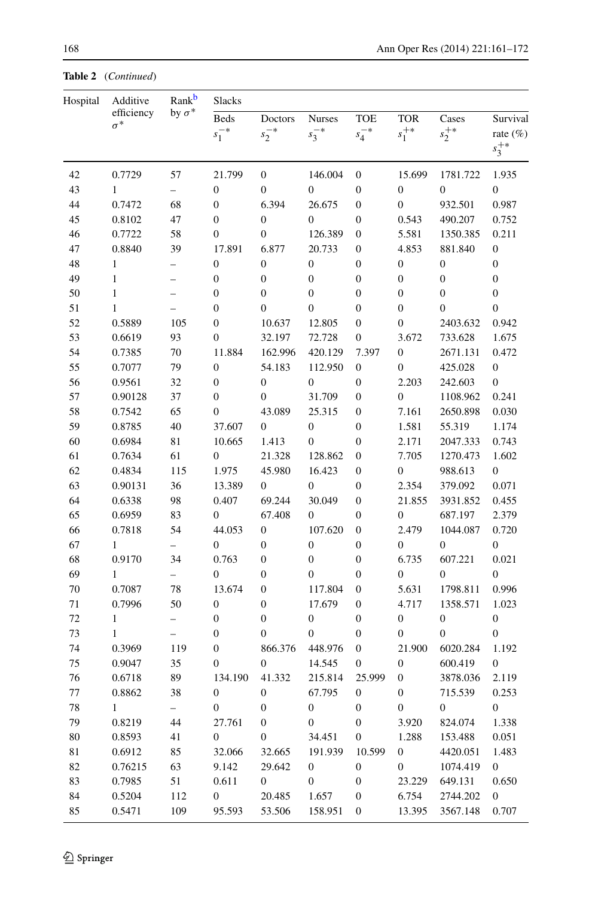| Hospital | Additive                 | Rankb<br>by $\sigma^*$   | Slacks           |                  |                  |                  |                  |                  |                  |  |
|----------|--------------------------|--------------------------|------------------|------------------|------------------|------------------|------------------|------------------|------------------|--|
|          | efficiency<br>$\sigma^*$ |                          | <b>Beds</b>      | Doctors          | <b>Nurses</b>    | TOE              | <b>TOR</b>       | Cases            | Survival         |  |
|          |                          |                          | $s_1^{-*}$       | $s_2^{-*}$       | $s_3^{-*}$       | $s_4^{-*}$       | $s_1^{+*}$       | $s_2^{+*}$       | rate $(\% )$     |  |
|          |                          |                          |                  |                  |                  |                  |                  |                  | $s_3^{+*}$       |  |
| 42       | 0.7729                   | 57                       | 21.799           | $\boldsymbol{0}$ | 146.004          | $\boldsymbol{0}$ | 15.699           | 1781.722         | 1.935            |  |
| 43       | $\mathbf{1}$             | $\overline{\phantom{0}}$ | $\boldsymbol{0}$ | $\boldsymbol{0}$ | $\boldsymbol{0}$ | $\boldsymbol{0}$ | $\boldsymbol{0}$ | $\mathbf{0}$     | $\boldsymbol{0}$ |  |
| 44       | 0.7472                   | 68                       | $\boldsymbol{0}$ | 6.394            | 26.675           | $\boldsymbol{0}$ | $\boldsymbol{0}$ | 932.501          | 0.987            |  |
| 45       | 0.8102                   | 47                       | $\boldsymbol{0}$ | $\boldsymbol{0}$ | $\boldsymbol{0}$ | $\boldsymbol{0}$ | 0.543            | 490.207          | 0.752            |  |
| 46       | 0.7722                   | 58                       | $\boldsymbol{0}$ | $\boldsymbol{0}$ | 126.389          | $\boldsymbol{0}$ | 5.581            | 1350.385         | 0.211            |  |
| 47       | 0.8840                   | 39                       | 17.891           | 6.877            | 20.733           | $\boldsymbol{0}$ | 4.853            | 881.840          | $\boldsymbol{0}$ |  |
| 48       | 1                        | $\overline{\phantom{0}}$ | $\boldsymbol{0}$ | $\boldsymbol{0}$ | $\boldsymbol{0}$ | $\boldsymbol{0}$ | $\boldsymbol{0}$ | $\boldsymbol{0}$ | $\boldsymbol{0}$ |  |
| 49       | $\mathbf{1}$             | $\overline{\phantom{0}}$ | $\boldsymbol{0}$ | $\boldsymbol{0}$ | $\boldsymbol{0}$ | $\boldsymbol{0}$ | $\boldsymbol{0}$ | $\boldsymbol{0}$ | $\boldsymbol{0}$ |  |
| 50       | $\mathbf{1}$             | $\overline{\phantom{0}}$ | $\boldsymbol{0}$ | $\boldsymbol{0}$ | $\boldsymbol{0}$ | $\boldsymbol{0}$ | $\boldsymbol{0}$ | $\boldsymbol{0}$ | $\boldsymbol{0}$ |  |
| 51       | 1                        | $\overline{\phantom{0}}$ | $\boldsymbol{0}$ | $\boldsymbol{0}$ | $\boldsymbol{0}$ | $\mathbf{0}$     | $\boldsymbol{0}$ | $\boldsymbol{0}$ | $\boldsymbol{0}$ |  |
| 52       | 0.5889                   | 105                      | $\boldsymbol{0}$ | 10.637           | 12.805           | $\boldsymbol{0}$ | $\boldsymbol{0}$ | 2403.632         | 0.942            |  |
| 53       | 0.6619                   | 93                       | $\boldsymbol{0}$ | 32.197           | 72.728           | $\boldsymbol{0}$ | 3.672            | 733.628          | 1.675            |  |
| 54       | 0.7385                   | 70                       | 11.884           | 162.996          | 420.129          | 7.397            | $\boldsymbol{0}$ | 2671.131         | 0.472            |  |
| 55       | 0.7077                   | 79                       | $\boldsymbol{0}$ | 54.183           | 112.950          | $\boldsymbol{0}$ | $\boldsymbol{0}$ | 425.028          | $\boldsymbol{0}$ |  |
| 56       | 0.9561                   | 32                       | $\boldsymbol{0}$ | $\boldsymbol{0}$ | $\boldsymbol{0}$ | $\boldsymbol{0}$ | 2.203            | 242.603          | $\boldsymbol{0}$ |  |
| 57       | 0.90128                  | 37                       | $\boldsymbol{0}$ | $\boldsymbol{0}$ | 31.709           | $\boldsymbol{0}$ | $\boldsymbol{0}$ | 1108.962         | 0.241            |  |
| 58       | 0.7542                   | 65                       | $\boldsymbol{0}$ | 43.089           | 25.315           | $\boldsymbol{0}$ | 7.161            | 2650.898         | 0.030            |  |
| 59       | 0.8785                   | 40                       | 37.607           | 0                | 0                | $\boldsymbol{0}$ | 1.581            | 55.319           | 1.174            |  |
| 60       | 0.6984                   | 81                       | 10.665           | 1.413            | $\boldsymbol{0}$ | $\boldsymbol{0}$ | 2.171            | 2047.333         | 0.743            |  |
| 61       | 0.7634                   | 61                       | $\boldsymbol{0}$ | 21.328           | 128.862          | $\boldsymbol{0}$ | 7.705            | 1270.473         | 1.602            |  |
| 62       | 0.4834                   | 115                      | 1.975            | 45.980           | 16.423           | $\boldsymbol{0}$ | $\boldsymbol{0}$ | 988.613          | $\boldsymbol{0}$ |  |
| 63       | 0.90131                  | 36                       | 13.389           | $\boldsymbol{0}$ | $\boldsymbol{0}$ | $\boldsymbol{0}$ | 2.354            | 379.092          | 0.071            |  |
| 64       | 0.6338                   | 98                       | 0.407            | 69.244           | 30.049           | $\boldsymbol{0}$ | 21.855           | 3931.852         | 0.455            |  |
| 65       | 0.6959                   | 83                       | $\boldsymbol{0}$ | 67.408           | 0                | $\boldsymbol{0}$ | 0                | 687.197          | 2.379            |  |
| 66       | 0.7818                   | 54                       | 44.053           | $\boldsymbol{0}$ | 107.620          | $\boldsymbol{0}$ | 2.479            | 1044.087         | 0.720            |  |
| 67       | $\mathbf{1}$             | $\overline{\phantom{0}}$ | $\boldsymbol{0}$ | $\boldsymbol{0}$ | $\boldsymbol{0}$ | $\boldsymbol{0}$ | $\boldsymbol{0}$ | $\mathbf{0}$     | $\boldsymbol{0}$ |  |
| 68       | 0.9170                   | 34                       | 0.763            | $\boldsymbol{0}$ | $\boldsymbol{0}$ | $\boldsymbol{0}$ | 6.735            | 607.221          | 0.021            |  |
| 69       | $\mathbf{1}$             | $\overline{\phantom{0}}$ | $\boldsymbol{0}$ | $\boldsymbol{0}$ | $\boldsymbol{0}$ | $\boldsymbol{0}$ | $\boldsymbol{0}$ | $\boldsymbol{0}$ | $\mathbf{0}$     |  |
| 70       | 0.7087                   | 78                       | 13.674           | $\boldsymbol{0}$ | 117.804          | $\boldsymbol{0}$ | 5.631            | 1798.811         | 0.996            |  |
| 71       | 0.7996                   | 50                       | $\boldsymbol{0}$ | $\boldsymbol{0}$ | 17.679           | $\boldsymbol{0}$ | 4.717            | 1358.571         | 1.023            |  |
| 72       | $\mathbf{1}$             | $\overline{a}$           | $\boldsymbol{0}$ | $\boldsymbol{0}$ | $\boldsymbol{0}$ | $\boldsymbol{0}$ | $\boldsymbol{0}$ | $\boldsymbol{0}$ | $\boldsymbol{0}$ |  |
| 73       | $\mathbf{1}$             | $\overline{\phantom{0}}$ | $\boldsymbol{0}$ | $\overline{0}$   | $\overline{0}$   | $\boldsymbol{0}$ | $\boldsymbol{0}$ | $\boldsymbol{0}$ | $\boldsymbol{0}$ |  |
| 74       | 0.3969                   | 119                      | $\boldsymbol{0}$ | 866.376          | 448.976          | $\boldsymbol{0}$ | 21.900           | 6020.284         | 1.192            |  |
| 75       | 0.9047                   | 35                       | $\boldsymbol{0}$ | $\boldsymbol{0}$ | 14.545           | $\boldsymbol{0}$ | $\boldsymbol{0}$ | 600.419          | $\boldsymbol{0}$ |  |
| 76       | 0.6718                   | 89                       | 134.190          | 41.332           | 215.814          | 25.999           | $\boldsymbol{0}$ | 3878.036         | 2.119            |  |
| 77       | 0.8862                   | 38                       | $\boldsymbol{0}$ | 0                | 67.795           | $\boldsymbol{0}$ | 0                | 715.539          | 0.253            |  |
| 78       | $\mathbf{1}$             | $\overline{\phantom{0}}$ | $\boldsymbol{0}$ | $\boldsymbol{0}$ | $\boldsymbol{0}$ | $\boldsymbol{0}$ | $\overline{0}$   | $\overline{0}$   | $\overline{0}$   |  |
| 79       | 0.8219                   | 44                       | 27.761           | $\boldsymbol{0}$ | $\boldsymbol{0}$ | $\mathbf{0}$     | 3.920            | 824.074          | 1.338            |  |
| 80       | 0.8593                   | 41                       | $\overline{0}$   | $\boldsymbol{0}$ | 34.451           | $\mathbf{0}$     | 1.288            | 153.488          | 0.051            |  |
| 81       | 0.6912                   | 85                       | 32.066           | 32.665           | 191.939          | 10.599           | $\overline{0}$   | 4420.051         | 1.483            |  |
| 82       | 0.76215                  | 63                       | 9.142            | 29.642           | 0                | $\boldsymbol{0}$ | $\boldsymbol{0}$ | 1074.419         | $\mathbf{0}$     |  |
| 83       | 0.7985                   | 51                       | 0.611            | 0                | 0                | $\boldsymbol{0}$ | 23.229           | 649.131          | 0.650            |  |
| 84       | 0.5204                   | 112                      | $\mathbf{0}$     | 20.485           | 1.657            | $\boldsymbol{0}$ | 6.754            | 2744.202         | $\mathbf{0}$     |  |
| 85       | 0.5471                   | 109                      | 95.593           | 53.506           | 158.951          | 0                | 13.395           | 3567.148         | 0.707            |  |

**Table 2** (*Continued*)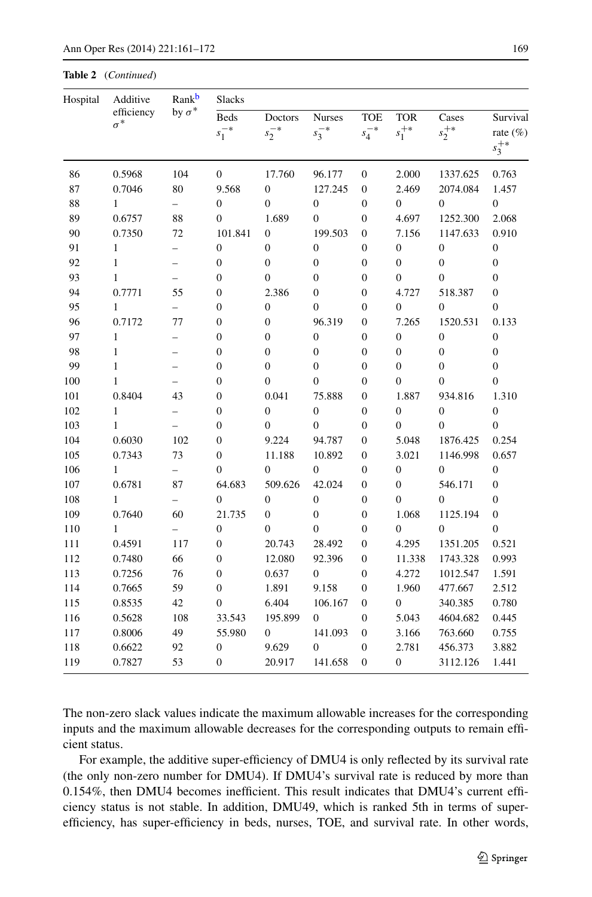**Table 2** (*Continued*)

| Hospital | Additive<br>efficiency<br>$\sigma^*$ | Rankb<br>by $\sigma^*$   | <b>Slacks</b>             |                       |                             |                          |                          |                     |                                    |  |
|----------|--------------------------------------|--------------------------|---------------------------|-----------------------|-----------------------------|--------------------------|--------------------------|---------------------|------------------------------------|--|
|          |                                      |                          | <b>Beds</b><br>$s_1^{-*}$ | Doctors<br>$s_2^{-*}$ | <b>Nurses</b><br>$s_3^{-*}$ | <b>TOE</b><br>$s_4^{-*}$ | <b>TOR</b><br>$s_1^{+*}$ | Cases<br>$s_2^{+*}$ | Survival<br>rate (%)<br>$s_3^{+*}$ |  |
| 86       | 0.5968                               | 104                      | $\overline{0}$            | 17.760                | 96.177                      | $\mathbf{0}$             | 2.000                    | 1337.625            | 0.763                              |  |
| 87       | 0.7046                               | 80                       | 9.568                     | $\overline{0}$        | 127.245                     | $\overline{0}$           | 2.469                    | 2074.084            | 1.457                              |  |
| 88       | 1                                    | $\overline{\phantom{0}}$ | $\overline{0}$            | $\mathbf{0}$          | $\mathbf{0}$                | $\overline{0}$           | $\boldsymbol{0}$         | $\mathbf{0}$        | $\mathbf{0}$                       |  |
| 89       | 0.6757                               | 88                       | $\overline{0}$            | 1.689                 | $\overline{0}$              | $\boldsymbol{0}$         | 4.697                    | 1252.300            | 2.068                              |  |
| 90       | 0.7350                               | 72                       | 101.841                   | $\boldsymbol{0}$      | 199.503                     | $\boldsymbol{0}$         | 7.156                    | 1147.633            | 0.910                              |  |
| 91       | 1                                    | $\overline{\phantom{0}}$ | $\overline{0}$            | $\mathbf{0}$          | $\boldsymbol{0}$            | $\overline{0}$           | $\overline{0}$           | $\mathbf{0}$        | $\mathbf{0}$                       |  |
| 92       | $\mathbf{1}$                         | $\overline{\phantom{0}}$ | $\mathbf{0}$              | $\boldsymbol{0}$      | $\mathbf{0}$                | $\mathbf{0}$             | $\boldsymbol{0}$         | $\boldsymbol{0}$    | $\boldsymbol{0}$                   |  |
| 93       | $\mathbf{1}$                         | $\overline{\phantom{0}}$ | $\boldsymbol{0}$          | $\boldsymbol{0}$      | $\mathbf{0}$                | $\mathbf{0}$             | $\boldsymbol{0}$         | $\boldsymbol{0}$    | $\boldsymbol{0}$                   |  |
| 94       | 0.7771                               | 55                       | $\overline{0}$            | 2.386                 | $\mathbf{0}$                | $\mathbf{0}$             | 4.727                    | 518.387             | $\overline{0}$                     |  |
| 95       | 1                                    | $\overline{\phantom{0}}$ | $\mathbf{0}$              | $\boldsymbol{0}$      | $\mathbf{0}$                | $\mathbf{0}$             | $\boldsymbol{0}$         | $\overline{0}$      | $\mathbf{0}$                       |  |
| 96       | 0.7172                               | 77                       | 0                         | $\boldsymbol{0}$      | 96.319                      | $\boldsymbol{0}$         | 7.265                    | 1520.531            | 0.133                              |  |
| 97       | $\mathbf{1}$                         | $\overline{\phantom{0}}$ | $\overline{0}$            | $\mathbf{0}$          | $\overline{0}$              | $\mathbf{0}$             | $\overline{0}$           | $\overline{0}$      | $\overline{0}$                     |  |
| 98       | 1                                    | $\overline{\phantom{0}}$ | $\overline{0}$            | $\mathbf{0}$          | $\mathbf{0}$                | $\mathbf{0}$             | $\boldsymbol{0}$         | $\overline{0}$      | $\overline{0}$                     |  |
| 99       | 1                                    | $\overline{\phantom{0}}$ | 0                         | $\boldsymbol{0}$      | $\mathbf{0}$                | $\mathbf{0}$             | $\boldsymbol{0}$         | $\boldsymbol{0}$    | $\boldsymbol{0}$                   |  |
| 100      | 1                                    | $\overline{\phantom{0}}$ | $\mathbf{0}$              | $\overline{0}$        | $\overline{0}$              | $\boldsymbol{0}$         | $\overline{0}$           | $\mathbf{0}$        | $\mathbf{0}$                       |  |
| 101      | 0.8404                               | 43                       | $\overline{0}$            | 0.041                 | 75.888                      | $\mathbf{0}$             | 1.887                    | 934.816             | 1.310                              |  |
| 102      | 1                                    |                          | 0                         | $\mathbf{0}$          | $\mathbf{0}$                | $\mathbf{0}$             | $\boldsymbol{0}$         | $\mathbf{0}$        | 0                                  |  |
| 103      | $\mathbf{1}$                         | $\overline{\phantom{0}}$ | $\mathbf{0}$              | $\mathbf{0}$          | $\boldsymbol{0}$            | $\mathbf{0}$             | $\boldsymbol{0}$         | $\mathbf{0}$        | $\boldsymbol{0}$                   |  |
| 104      | 0.6030                               | 102                      | $\overline{0}$            | 9.224                 | 94.787                      | $\mathbf{0}$             | 5.048                    | 1876.425            | 0.254                              |  |
| 105      | 0.7343                               | 73                       | $\boldsymbol{0}$          | 11.188                | 10.892                      | $\boldsymbol{0}$         | 3.021                    | 1146.998            | 0.657                              |  |
| 106      | 1                                    | $\overline{\phantom{0}}$ | $\overline{0}$            | $\overline{0}$        | $\boldsymbol{0}$            | $\boldsymbol{0}$         | $\boldsymbol{0}$         | $\boldsymbol{0}$    | $\boldsymbol{0}$                   |  |
| 107      | 0.6781                               | 87                       | 64.683                    | 509.626               | 42.024                      | $\overline{0}$           | $\overline{0}$           | 546.171             | $\overline{0}$                     |  |
| 108      | 1                                    | $\overline{\phantom{0}}$ | $\overline{0}$            | $\mathbf{0}$          | $\mathbf{0}$                | $\mathbf{0}$             | $\overline{0}$           | $\mathbf{0}$        | $\mathbf{0}$                       |  |
| 109      | 0.7640                               | 60                       | 21.735                    | $\mathbf{0}$          | $\mathbf{0}$                | $\mathbf{0}$             | 1.068                    | 1125.194            | $\mathbf{0}$                       |  |
| 110      | $\mathbf{1}$                         | $\overline{a}$           | $\boldsymbol{0}$          | $\mathbf{0}$          | $\overline{0}$              | $\boldsymbol{0}$         | $\boldsymbol{0}$         | $\overline{0}$      | $\overline{0}$                     |  |
| 111      | 0.4591                               | 117                      | $\overline{0}$            | 20.743                | 28.492                      | $\mathbf{0}$             | 4.295                    | 1351.205            | 0.521                              |  |
| 112      | 0.7480                               | 66                       | $\mathbf{0}$              | 12.080                | 92.396                      | $\mathbf{0}$             | 11.338                   | 1743.328            | 0.993                              |  |
| 113      | 0.7256                               | 76                       | $\boldsymbol{0}$          | 0.637                 | $\mathbf{0}$                | $\boldsymbol{0}$         | 4.272                    | 1012.547            | 1.591                              |  |
| 114      | 0.7665                               | 59                       | $\overline{0}$            | 1.891                 | 9.158                       | $\overline{0}$           | 1.960                    | 477.667             | 2.512                              |  |
| 115      | 0.8535                               | 42                       | 0                         | 6.404                 | 106.167                     | $\mathbf{0}$             | 0                        | 340.385             | 0.780                              |  |
| 116      | 0.5628                               | 108                      | 33.543                    | 195.899               | $\boldsymbol{0}$            | $\boldsymbol{0}$         | 5.043                    | 4604.682            | 0.445                              |  |
| 117      | 0.8006                               | 49                       | 55.980                    | $\overline{0}$        | 141.093                     | $\mathbf{0}$             | 3.166                    | 763.660             | 0.755                              |  |
| 118      | 0.6622                               | 92                       | $\boldsymbol{0}$          | 9.629                 | $\overline{0}$              | $\mathbf{0}$             | 2.781                    | 456.373             | 3.882                              |  |
| 119      | 0.7827                               | 53                       | $\overline{0}$            | 20.917                | 141.658                     | $\mathbf{0}$             | $\boldsymbol{0}$         | 3112.126            | 1.441                              |  |

The non-zero slack values indicate the maximum allowable increases for the corresponding inputs and the maximum allowable decreases for the corresponding outputs to remain efficient status.

For example, the additive super-efficiency of DMU4 is only reflected by its survival rate (the only non-zero number for DMU4). If DMU4's survival rate is reduced by more than 0.154%, then DMU4 becomes inefficient. This result indicates that DMU4's current efficiency status is not stable. In addition, DMU49, which is ranked 5th in terms of superefficiency, has super-efficiency in beds, nurses, TOE, and survival rate. In other words,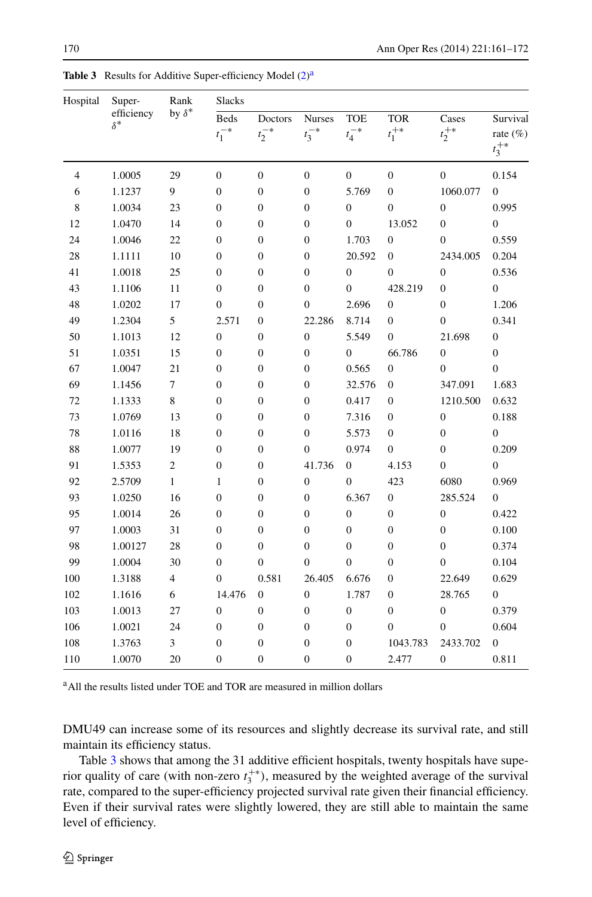| Hospital       | Super-<br>efficiency<br>$\delta^*$ | Rank<br>by $\delta^*$   | <b>Slacks</b>             |                       |                             |                          |                          |                     |                                    |  |  |
|----------------|------------------------------------|-------------------------|---------------------------|-----------------------|-----------------------------|--------------------------|--------------------------|---------------------|------------------------------------|--|--|
|                |                                    |                         | <b>Beds</b><br>$t_1^{-*}$ | Doctors<br>$t_2^{-*}$ | <b>Nurses</b><br>$t_3^{-*}$ | <b>TOE</b><br>$t_4^{-*}$ | <b>TOR</b><br>$t_1^{+*}$ | Cases<br>$t_2^{+*}$ | Survival<br>rate (%)<br>$t_3^{+*}$ |  |  |
| $\overline{4}$ | 1.0005                             | 29                      | $\overline{0}$            | $\mathbf{0}$          | $\overline{0}$              | $\overline{0}$           | $\overline{0}$           | $\overline{0}$      | 0.154                              |  |  |
| 6              | 1.1237                             | 9                       | $\overline{0}$            | $\boldsymbol{0}$      | $\overline{0}$              | 5.769                    | $\boldsymbol{0}$         | 1060.077            | $\boldsymbol{0}$                   |  |  |
| $\,$ 8 $\,$    | 1.0034                             | 23                      | $\mathbf{0}$              | $\boldsymbol{0}$      | $\mathbf{0}$                | $\mathbf{0}$             | $\overline{0}$           | $\boldsymbol{0}$    | 0.995                              |  |  |
| 12             | 1.0470                             | 14                      | $\mathbf{0}$              | $\overline{0}$        | $\mathbf{0}$                | $\mathbf{0}$             | 13.052                   | $\overline{0}$      | $\overline{0}$                     |  |  |
| 24             | 1.0046                             | 22                      | $\mathbf{0}$              | $\overline{0}$        | $\mathbf{0}$                | 1.703                    | $\overline{0}$           | $\overline{0}$      | 0.559                              |  |  |
| 28             | 1.1111                             | 10                      | $\mathbf{0}$              | $\overline{0}$        | $\mathbf{0}$                | 20.592                   | $\overline{0}$           | 2434.005            | 0.204                              |  |  |
| 41             | 1.0018                             | 25                      | $\mathbf{0}$              | $\boldsymbol{0}$      | $\mathbf{0}$                | $\mathbf{0}$             | $\overline{0}$           | $\boldsymbol{0}$    | 0.536                              |  |  |
| 43             | 1.1106                             | 11                      | $\overline{0}$            | $\boldsymbol{0}$      | $\overline{0}$              | $\mathbf{0}$             | 428.219                  | $\boldsymbol{0}$    | $\boldsymbol{0}$                   |  |  |
| 48             | 1.0202                             | 17                      | $\overline{0}$            | $\boldsymbol{0}$      | $\overline{0}$              | 2.696                    | $\boldsymbol{0}$         | $\boldsymbol{0}$    | 1.206                              |  |  |
| 49             | 1.2304                             | 5                       | 2.571                     | $\overline{0}$        | 22.286                      | 8.714                    | $\overline{0}$           | $\overline{0}$      | 0.341                              |  |  |
| 50             | 1.1013                             | 12                      | $\overline{0}$            | $\boldsymbol{0}$      | $\overline{0}$              | 5.549                    | $\boldsymbol{0}$         | 21.698              | $\boldsymbol{0}$                   |  |  |
| 51             | 1.0351                             | 15                      | $\mathbf{0}$              | $\boldsymbol{0}$      | $\mathbf{0}$                | $\mathbf{0}$             | 66.786                   | $\boldsymbol{0}$    | $\boldsymbol{0}$                   |  |  |
| 67             | 1.0047                             | 21                      | $\mathbf{0}$              | $\boldsymbol{0}$      | $\mathbf{0}$                | 0.565                    | $\boldsymbol{0}$         | $\overline{0}$      | $\boldsymbol{0}$                   |  |  |
| 69             | 1.1456                             | $\tau$                  | $\boldsymbol{0}$          | $\boldsymbol{0}$      | $\overline{0}$              | 32.576                   | $\boldsymbol{0}$         | 347.091             | 1.683                              |  |  |
| 72             | 1.1333                             | 8                       | $\mathbf{0}$              | $\boldsymbol{0}$      | $\mathbf{0}$                | 0.417                    | $\boldsymbol{0}$         | 1210.500            | 0.632                              |  |  |
| 73             | 1.0769                             | 13                      | $\Omega$                  | $\mathbf{0}$          | $\Omega$                    | 7.316                    | $\overline{0}$           | $\overline{0}$      | 0.188                              |  |  |
| 78             | 1.0116                             | 18                      | $\mathbf{0}$              | $\boldsymbol{0}$      | $\Omega$                    | 5.573                    | $\overline{0}$           | $\overline{0}$      | $\boldsymbol{0}$                   |  |  |
| 88             | 1.0077                             | 19                      | $\mathbf{0}$              | $\boldsymbol{0}$      | $\mathbf{0}$                | 0.974                    | $\overline{0}$           | $\overline{0}$      | 0.209                              |  |  |
| 91             | 1.5353                             | $\overline{c}$          | $\mathbf{0}$              | $\boldsymbol{0}$      | 41.736                      | $\mathbf{0}$             | 4.153                    | $\overline{0}$      | $\mathbf{0}$                       |  |  |
| 92             | 2.5709                             | $1\,$                   | $\mathbf{1}$              | $\boldsymbol{0}$      | $\overline{0}$              | $\overline{0}$           | 423                      | 6080                | 0.969                              |  |  |
| 93             | 1.0250                             | 16                      | $\boldsymbol{0}$          | $\boldsymbol{0}$      | $\boldsymbol{0}$            | 6.367                    | $\boldsymbol{0}$         | 285.524             | $\boldsymbol{0}$                   |  |  |
| 95             | 1.0014                             | 26                      | $\overline{0}$            | $\overline{0}$        | $\overline{0}$              | $\overline{0}$           | $\overline{0}$           | $\overline{0}$      | 0.422                              |  |  |
| 97             | 1.0003                             | 31                      | $\mathbf{0}$              | $\overline{0}$        | $\theta$                    | $\overline{0}$           | $\overline{0}$           | $\overline{0}$      | 0.100                              |  |  |
| 98             | 1.00127                            | 28                      | $\mathbf{0}$              | $\boldsymbol{0}$      | $\mathbf{0}$                | $\mathbf{0}$             | $\mathbf{0}$             | $\overline{0}$      | 0.374                              |  |  |
| 99             | 1.0004                             | 30                      | $\boldsymbol{0}$          | $\boldsymbol{0}$      | $\mathbf{0}$                | $\mathbf{0}$             | $\boldsymbol{0}$         | $\boldsymbol{0}$    | 0.104                              |  |  |
| 100            | 1.3188                             | $\overline{\mathbf{4}}$ | $\boldsymbol{0}$          | 0.581                 | 26.405                      | 6.676                    | $\boldsymbol{0}$         | 22.649              | 0.629                              |  |  |
| 102            | 1.1616                             | 6                       | 14.476                    | $\boldsymbol{0}$      | $\overline{0}$              | 1.787                    | $\boldsymbol{0}$         | 28.765              | $\boldsymbol{0}$                   |  |  |
| 103            | 1.0013                             | 27                      | $\overline{0}$            | $\mathbf{0}$          | $\overline{0}$              | $\overline{0}$           | $\boldsymbol{0}$         | $\boldsymbol{0}$    | 0.379                              |  |  |
| 106            | 1.0021                             | 24                      | $\overline{0}$            | $\mathbf{0}$          | $\mathbf{0}$                | $\mathbf{0}$             | $\overline{0}$           | $\overline{0}$      | 0.604                              |  |  |
| 108            | 1.3763                             | 3                       | $\mathbf{0}$              | $\overline{0}$        | $\mathbf{0}$                | $\mathbf{0}$             | 1043.783                 | 2433.702            | $\overline{0}$                     |  |  |
| 110            | 1.0070                             | 20                      | $\overline{0}$            | $\overline{0}$        | $\mathbf{0}$                | $\mathbf{0}$             | 2.477                    | $\overline{0}$      | 0.811                              |  |  |

<span id="page-9-0"></span>Table 3 Results for Additive Super-efficiency Model [\(2](#page-3-0))<sup>[a](#page-9-1)</sup>

<span id="page-9-1"></span>aAll the results listed under TOE and TOR are measured in million dollars

DMU49 can increase some of its resources and slightly decrease its survival rate, and still maintain its efficiency status.

Table [3](#page-9-0) shows that among the 31 additive efficient hospitals, twenty hospitals have superior quality of care (with non-zero  $t_3^{+*}$ ), measured by the weighted average of the survival rate, compared to the super-efficiency projected survival rate given their financial efficiency. Even if their survival rates were slightly lowered, they are still able to maintain the same level of efficiency.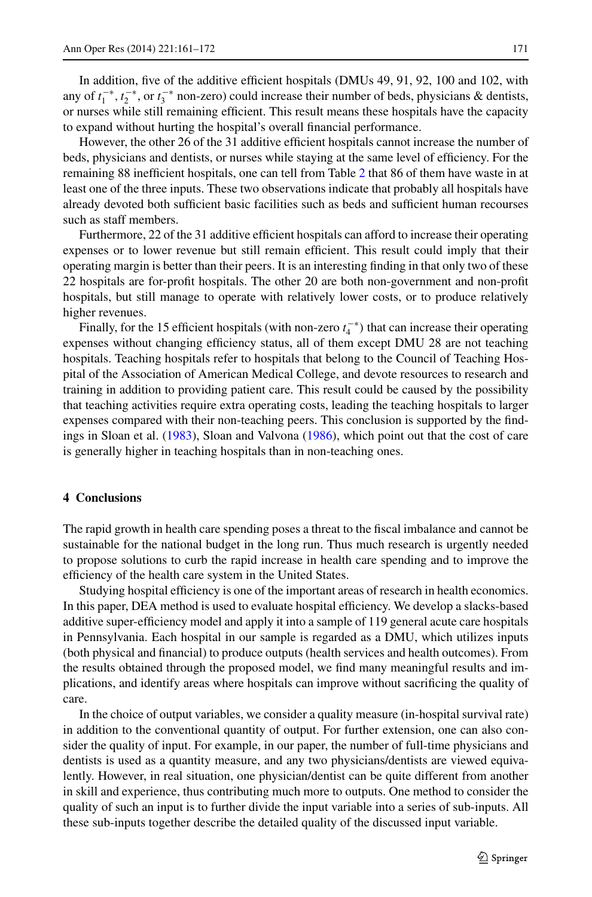In addition, five of the additive efficient hospitals (DMUs 49, 91, 92, 100 and 102, with any of  $t_1^{-*}, t_2^{-*}$ , or  $t_3^{-*}$  non-zero) could increase their number of beds, physicians & dentists, or nurses while still remaining efficient. This result means these hospitals have the capacity to expand without hurting the hospital's overall financial performance.

However, the other 26 of the 31 additive efficient hospitals cannot increase the number of beds, physicians and dentists, or nurses while staying at the same level of efficiency. For the remaining 88 inefficient hospitals, one can tell from Table [2](#page-6-0) that 86 of them have waste in at least one of the three inputs. These two observations indicate that probably all hospitals have already devoted both sufficient basic facilities such as beds and sufficient human recourses such as staff members.

Furthermore, 22 of the 31 additive efficient hospitals can afford to increase their operating expenses or to lower revenue but still remain efficient. This result could imply that their operating margin is better than their peers. It is an interesting finding in that only two of these 22 hospitals are for-profit hospitals. The other 20 are both non-government and non-profit hospitals, but still manage to operate with relatively lower costs, or to produce relatively higher revenues.

<span id="page-10-0"></span>Finally, for the 15 efficient hospitals (with non-zero  $t_4$ <sup> $\rightarrow$ </sup>) that can increase their operating expenses without changing efficiency status, all of them except DMU 28 are not teaching hospitals. Teaching hospitals refer to hospitals that belong to the Council of Teaching Hospital of the Association of American Medical College, and devote resources to research and training in addition to providing patient care. This result could be caused by the possibility that teaching activities require extra operating costs, leading the teaching hospitals to larger expenses compared with their non-teaching peers. This conclusion is supported by the findings in Sloan et al. ([1983\)](#page-11-15), Sloan and Valvona ([1986\)](#page-11-16), which point out that the cost of care is generally higher in teaching hospitals than in non-teaching ones.

### **4 Conclusions**

The rapid growth in health care spending poses a threat to the fiscal imbalance and cannot be sustainable for the national budget in the long run. Thus much research is urgently needed to propose solutions to curb the rapid increase in health care spending and to improve the efficiency of the health care system in the United States.

Studying hospital efficiency is one of the important areas of research in health economics. In this paper, DEA method is used to evaluate hospital efficiency. We develop a slacks-based additive super-efficiency model and apply it into a sample of 119 general acute care hospitals in Pennsylvania. Each hospital in our sample is regarded as a DMU, which utilizes inputs (both physical and financial) to produce outputs (health services and health outcomes). From the results obtained through the proposed model, we find many meaningful results and implications, and identify areas where hospitals can improve without sacrificing the quality of care.

In the choice of output variables, we consider a quality measure (in-hospital survival rate) in addition to the conventional quantity of output. For further extension, one can also consider the quality of input. For example, in our paper, the number of full-time physicians and dentists is used as a quantity measure, and any two physicians/dentists are viewed equivalently. However, in real situation, one physician/dentist can be quite different from another in skill and experience, thus contributing much more to outputs. One method to consider the quality of such an input is to further divide the input variable into a series of sub-inputs. All these sub-inputs together describe the detailed quality of the discussed input variable.